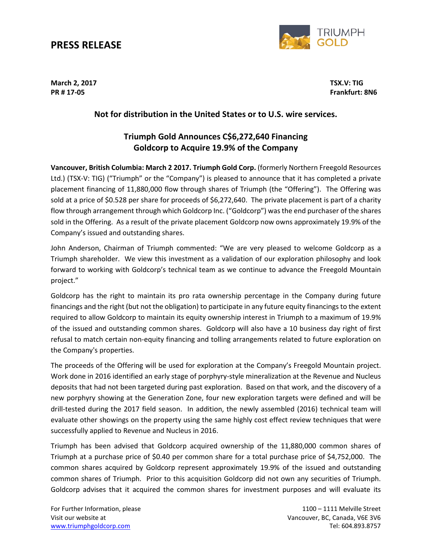## **PRESS RELEASE**



**March 2, 2017 TSX.V: TIG**

**PR # 17-05 Frankfurt: 8N6**

### **Not for distribution in the United States or to U.S. wire services.**

## **Triumph Gold Announces C\$6,272,640 Financing Goldcorp to Acquire 19.9% of the Company**

**Vancouver, British Columbia: March 2 2017. Triumph Gold Corp.** (formerly Northern Freegold Resources Ltd.) (TSX-V: TIG) ("Triumph" or the "Company") is pleased to announce that it has completed a private placement financing of 11,880,000 flow through shares of Triumph (the "Offering"). The Offering was sold at a price of \$0.528 per share for proceeds of \$6,272,640. The private placement is part of a charity flow through arrangement through which Goldcorp Inc. ("Goldcorp") was the end purchaser of the shares sold in the Offering. As a result of the private placement Goldcorp now owns approximately 19.9% of the Company's issued and outstanding shares.

John Anderson, Chairman of Triumph commented: "We are very pleased to welcome Goldcorp as a Triumph shareholder. We view this investment as a validation of our exploration philosophy and look forward to working with Goldcorp's technical team as we continue to advance the Freegold Mountain project."

Goldcorp has the right to maintain its pro rata ownership percentage in the Company during future financings and the right (but not the obligation) to participate in any future equity financings to the extent required to allow Goldcorp to maintain its equity ownership interest in Triumph to a maximum of 19.9% of the issued and outstanding common shares. Goldcorp will also have a 10 business day right of first refusal to match certain non-equity financing and tolling arrangements related to future exploration on the Company's properties.

The proceeds of the Offering will be used for exploration at the Company's Freegold Mountain project. Work done in 2016 identified an early stage of porphyry-style mineralization at the Revenue and Nucleus deposits that had not been targeted during past exploration. Based on that work, and the discovery of a new porphyry showing at the Generation Zone, four new exploration targets were defined and will be drill-tested during the 2017 field season. In addition, the newly assembled (2016) technical team will evaluate other showings on the property using the same highly cost effect review techniques that were successfully applied to Revenue and Nucleus in 2016.

Triumph has been advised that Goldcorp acquired ownership of the 11,880,000 common shares of Triumph at a purchase price of \$0.40 per common share for a total purchase price of \$4,752,000. The common shares acquired by Goldcorp represent approximately 19.9% of the issued and outstanding common shares of Triumph. Prior to this acquisition Goldcorp did not own any securities of Triumph. Goldcorp advises that it acquired the common shares for investment purposes and will evaluate its